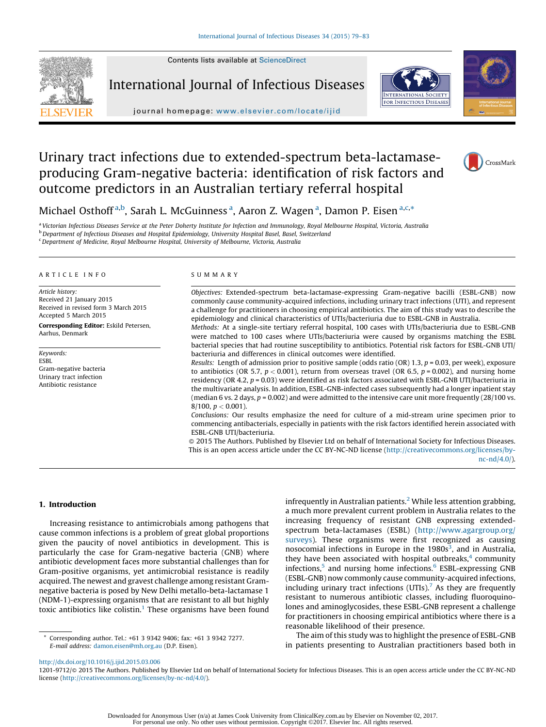Contents lists available at [ScienceDirect](http://www.sciencedirect.com/science/journal/12019712)



International Journal of Infectious Diseases



journal homepage: <www.elsevier.com/locate/ijid>

# Urinary tract infections due to extended-spectrum beta-lactamaseproducing Gram-negative bacteria: identification of risk factors and outcome predictors in an Australian tertiary referral hospital



Michael Osthoff<sup>a,b</sup>, Sarah L. McGuinness<sup>a</sup>, Aaron Z. Wagen<sup>a</sup>, Damon P. Eisen<sup>a,c,\*</sup>

<sup>a</sup> Victorian Infectious Diseases Service at the Peter Doherty Institute for Infection and Immunology, Royal Melbourne Hospital, Victoria, Australia

<sup>b</sup> Department of Infectious Diseases and Hospital Epidemiology, University Hospital Basel, Basel, Switzerland

<sup>c</sup>Department of Medicine, Royal Melbourne Hospital, University of Melbourne, Victoria, Australia

#### A R T I C L E I N F O

Article history: Received 21 January 2015 Received in revised form 3 March 2015 Accepted 5 March 2015 Corresponding Editor: Eskild Petersen, Aarhus, Denmark

Keywords: ESBL Gram-negative bacteria Urinary tract infection

Antibiotic resistance

#### S U M M A R Y

Objectives: Extended-spectrum beta-lactamase-expressing Gram-negative bacilli (ESBL-GNB) now commonly cause community-acquired infections, including urinary tract infections (UTI), and represent a challenge for practitioners in choosing empirical antibiotics. The aim of this study was to describe the epidemiology and clinical characteristics of UTIs/bacteriuria due to ESBL-GNB in Australia.

Methods: At a single-site tertiary referral hospital, 100 cases with UTIs/bacteriuria due to ESBL-GNB were matched to 100 cases where UTIs/bacteriuria were caused by organisms matching the ESBL bacterial species that had routine susceptibility to antibiotics. Potential risk factors for ESBL-GNB UTI/ bacteriuria and differences in clinical outcomes were identified.

Results: Length of admission prior to positive sample (odds ratio (OR) 1.3,  $p = 0.03$ , per week), exposure to antibiotics (OR 5.7,  $p < 0.001$ ), return from overseas travel (OR 6.5,  $p = 0.002$ ), and nursing home residency (OR 4.2,  $p = 0.03$ ) were identified as risk factors associated with ESBL-GNB UTI/bacteriuria in the multivariate analysis. In addition, ESBL-GNB-infected cases subsequently had a longer inpatient stay (median 6 vs. 2 days,  $p = 0.002$ ) and were admitted to the intensive care unit more frequently  $(28/100 \text{ vs. } 1000 \text{ vs. } 1000 \text{ vs. } 1000 \text{ vs. } 1000 \text{ vs. } 1000 \text{ vs. } 1000 \text{ vs. } 1000 \text{ vs. } 1000 \text{ vs. } 1000 \text{ vs. } 1000 \text{ vs. } 1$  $8/100$ ,  $p < 0.001$ ).

Conclusions: Our results emphasize the need for culture of a mid-stream urine specimen prior to commencing antibacterials, especially in patients with the risk factors identified herein associated with ESBL-GNB UTI/bacteriuria.

- 2015 The Authors. Published by Elsevier Ltd on behalf of International Society for Infectious Diseases. This is an open access article under the CC BY-NC-ND license ([http://creativecommons.org/licenses/by-](http://creativecommons.org/licenses/by-nc-nd/4.0/)

[nc-nd/4.0/](http://creativecommons.org/licenses/by-nc-nd/4.0/)).

## 1. Introduction

Increasing resistance to antimicrobials among pathogens that cause common infections is a problem of great global proportions given the paucity of novel antibiotics in development. This is particularly the case for Gram-negative bacteria (GNB) where antibiotic development faces more substantial challenges than for Gram-positive organisms, yet antimicrobial resistance is readily acquired. The newest and gravest challenge among resistant Gramnegative bacteria is posed by New Delhi metallo-beta-lactamase 1 (NDM-1)-expressing organisms that are resistant to all but highly toxic antibiotics like colistin.<sup>1</sup> These organisms have been found

Corresponding author. Tel.: +61 3 9342 9406; fax: +61 3 9342 7277. E-mail address: [damon.eisen@mh.org.au](mailto:damon.eisen@mh.org.au) (D.P. Eisen).

infrequently in Australian patients.<sup>[2](#page-3-0)</sup> While less attention grabbing, a much more prevalent current problem in Australia relates to the increasing frequency of resistant GNB expressing extendedspectrum beta-lactamases (ESBL) [\(http://www.agargroup.org/](http://www.agargroup.org/surveys) [surveys\)](http://www.agargroup.org/surveys). These organisms were first recognized as causing nosocomial infections in Europe in the 1980s<sup>[3](#page-3-0)</sup>, and in Australia, they have been associated with hospital outbreaks, $4$  community infections, $5$  and nursing home infections. $6$  ESBL-expressing GNB (ESBL-GNB) now commonly cause community-acquired infections, including urinary tract infections (UTIs).<sup>7</sup> As they are frequently resistant to numerous antibiotic classes, including fluoroquinolones and aminoglycosides, these ESBL-GNB represent a challenge for practitioners in choosing empirical antibiotics where there is a reasonable likelihood of their presence.

The aim of this study was to highlight the presence of ESBL-GNB in patients presenting to Australian practitioners based both in

<http://dx.doi.org/10.1016/j.ijid.2015.03.006>

1201-9712/@ 2015 The Authors. Published by Elsevier Ltd on behalf of International Society for Infectious Diseases. This is an open access article under the CC BY-NC-ND license [\(http://creativecommons.org/licenses/by-nc-nd/4.0/\)](http://creativecommons.org/licenses/by-nc-nd/4.0/).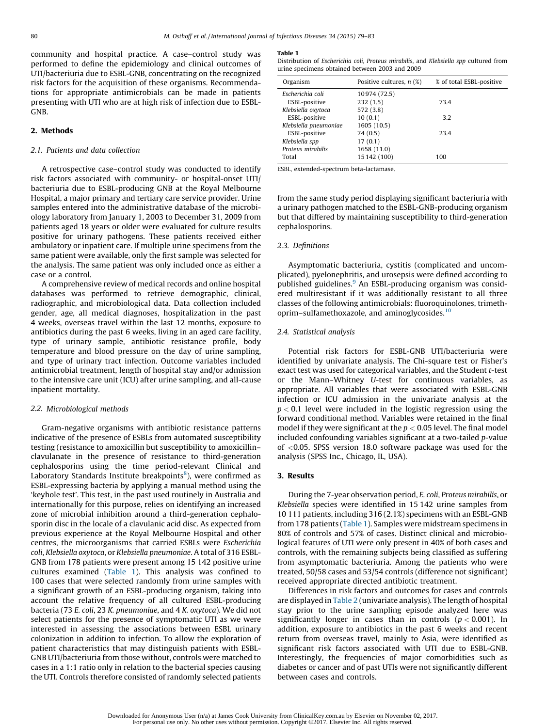community and hospital practice. A case–control study was performed to define the epidemiology and clinical outcomes of UTI/bacteriuria due to ESBL-GNB, concentrating on the recognized risk factors for the acquisition of these organisms. Recommendations for appropriate antimicrobials can be made in patients presenting with UTI who are at high risk of infection due to ESBL-GNB.

## 2. Methods

#### 2.1. Patients and data collection

A retrospective case–control study was conducted to identify risk factors associated with community- or hospital-onset UTI/ bacteriuria due to ESBL-producing GNB at the Royal Melbourne Hospital, a major primary and tertiary care service provider. Urine samples entered into the administrative database of the microbiology laboratory from January 1, 2003 to December 31, 2009 from patients aged 18 years or older were evaluated for culture results positive for urinary pathogens. These patients received either ambulatory or inpatient care. If multiple urine specimens from the same patient were available, only the first sample was selected for the analysis. The same patient was only included once as either a case or a control.

A comprehensive review of medical records and online hospital databases was performed to retrieve demographic, clinical, radiographic, and microbiological data. Data collection included gender, age, all medical diagnoses, hospitalization in the past 4 weeks, overseas travel within the last 12 months, exposure to antibiotics during the past 6 weeks, living in an aged care facility, type of urinary sample, antibiotic resistance profile, body temperature and blood pressure on the day of urine sampling, and type of urinary tract infection. Outcome variables included antimicrobial treatment, length of hospital stay and/or admission to the intensive care unit (ICU) after urine sampling, and all-cause inpatient mortality.

#### 2.2. Microbiological methods

Gram-negative organisms with antibiotic resistance patterns indicative of the presence of ESBLs from automated susceptibility testing (resistance to amoxicillin but susceptibility to amoxicillin– clavulanate in the presence of resistance to third-generation cephalosporins using the time period-relevant Clinical and Laboratory Standards Institute breakpoints<sup>8</sup>), were confirmed as ESBL-expressing bacteria by applying a manual method using the 'keyhole test'. This test, in the past used routinely in Australia and internationally for this purpose, relies on identifying an increased zone of microbial inhibition around a third-generation cephalosporin disc in the locale of a clavulanic acid disc. As expected from previous experience at the Royal Melbourne Hospital and other centres, the microorganisms that carried ESBLs were Escherichia coli, Klebsiella oxytoca, or Klebsiella pneumoniae. A total of 316 ESBL-GNB from 178 patients were present among 15 142 positive urine cultures examined (Table 1). This analysis was confined to 100 cases that were selected randomly from urine samples with a significant growth of an ESBL-producing organism, taking into account the relative frequency of all cultured ESBL-producing bacteria (73 E. coli, 23 K. pneumoniae, and 4 K. oxytoca). We did not select patients for the presence of symptomatic UTI as we were interested in assessing the associations between ESBL urinary colonization in addition to infection. To allow the exploration of patient characteristics that may distinguish patients with ESBL-GNB UTI/bacteriuria from those without, controls were matched to cases in a 1:1 ratio only in relation to the bacterial species causing the UTI. Controls therefore consisted of randomly selected patients

#### Table 1

Distribution of Escherichia coli, Proteus mirabilis, and Klebsiella spp cultured from urine specimens obtained between 2003 and 2009

| Organism              | Positive cultures, $n$ (%) | % of total ESBL-positive |
|-----------------------|----------------------------|--------------------------|
| Escherichia coli      | 10974 (72.5)               |                          |
| ESBL-positive         | 232(1.5)                   | 73.4                     |
| Klebsiella oxytoca    | 572 (3.8)                  |                          |
| ESBL-positive         | 10(0.1)                    | 3.2                      |
| Klebsiella pneumoniae | 1605 (10.5)                |                          |
| ESBL-positive         | 74 (0.5)                   | 23.4                     |
| Klebsiella spp        | 17(0.1)                    |                          |
| Proteus mirabilis     | 1658 (11.0)                |                          |
| Total                 | 15 142 (100)               | 100                      |

ESBL, extended-spectrum beta-lactamase.

from the same study period displaying significant bacteriuria with a urinary pathogen matched to the ESBL-GNB-producing organism but that differed by maintaining susceptibility to third-generation cephalosporins.

### 2.3. Definitions

Asymptomatic bacteriuria, cystitis (complicated and uncomplicated), pyelonephritis, and urosepsis were defined according to published guidelines.<sup>[9](#page-3-0)</sup> An ESBL-producing organism was considered multiresistant if it was additionally resistant to all three classes of the following antimicrobials: fluoroquinolones, trimethoprim–sulfamethoxazole, and aminoglycosides[.10](#page-3-0)

## 2.4. Statistical analysis

Potential risk factors for ESBL-GNB UTI/bacteriuria were identified by univariate analysis. The Chi-square test or Fisher's exact test was used for categorical variables, and the Student t-test or the Mann–Whitney U-test for continuous variables, as appropriate. All variables that were associated with ESBL-GNB infection or ICU admission in the univariate analysis at the  $p < 0.1$  level were included in the logistic regression using the forward conditional method. Variables were retained in the final model if they were significant at the  $p < 0.05$  level. The final model included confounding variables significant at a two-tailed p-value of <0.05. SPSS version 18.0 software package was used for the analysis (SPSS Inc., Chicago, IL, USA).

## 3. Results

During the 7-year observation period, E. coli, Proteus mirabilis, or Klebsiella species were identified in 15 142 urine samples from 10 111 patients, including 316 (2.1%) specimens with an ESBL-GNB from 178 patients (Table 1). Samples were midstream specimens in 80% of controls and 57% of cases. Distinct clinical and microbiological features of UTI were only present in 40% of both cases and controls, with the remaining subjects being classified as suffering from asymptomatic bacteriuria. Among the patients who were treated, 50/58 cases and 53/54 controls (difference not significant) received appropriate directed antibiotic treatment.

Differences in risk factors and outcomes for cases and controls are displayed in [Table](#page-2-0) 2 (univariate analysis). The length of hospital stay prior to the urine sampling episode analyzed here was significantly longer in cases than in controls ( $p < 0.001$ ). In addition, exposure to antibiotics in the past 6 weeks and recent return from overseas travel, mainly to Asia, were identified as significant risk factors associated with UTI due to ESBL-GNB. Interestingly, the frequencies of major comorbidities such as diabetes or cancer and of past UTIs were not significantly different between cases and controls.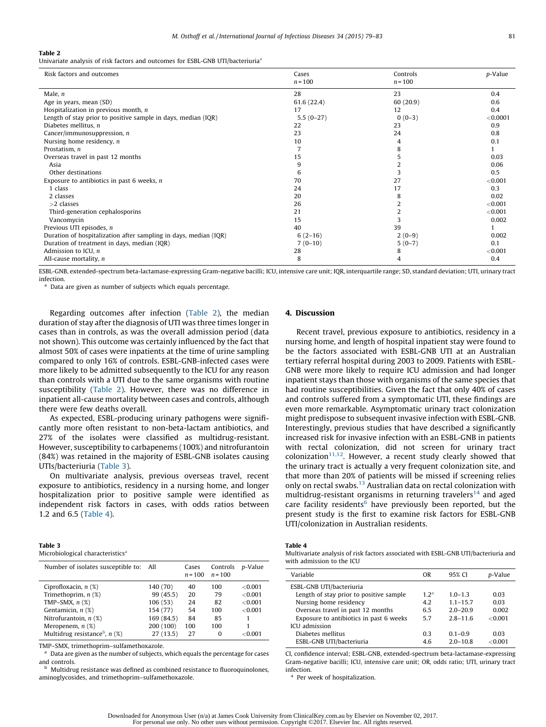#### <span id="page-2-0"></span>Table 2

Univariate analysis of risk factors and outcomes for ESBL-GNB UTI/bacteriuria<sup>a</sup>

| Risk factors and outcomes                                        | Cases<br>$n = 100$ | Controls<br>$n = 100$ | p-Value  |
|------------------------------------------------------------------|--------------------|-----------------------|----------|
| Male, $n$                                                        | 28                 | 23                    | 0.4      |
| Age in years, mean (SD)                                          | 61.6 (22.4)        | 60(20.9)              | 0.6      |
| Hospitalization in previous month, $n$                           | 17                 | 12                    | 0.4      |
| Length of stay prior to positive sample in days, median (IQR)    | $5.5(0-27)$        | $0(0-3)$              | < 0.0001 |
| Diabetes mellitus, $n$                                           | 22                 | 23                    | 0.9      |
| Cancer/immunosuppression, $n$                                    | 23                 | 24                    | 0.8      |
| Nursing home residency, $n$                                      | 10                 | 4                     | 0.1      |
| Prostatism, n                                                    |                    | 8                     |          |
| Overseas travel in past 12 months                                | 15                 |                       | 0.03     |
| Asia                                                             | 9                  |                       | 0.06     |
| Other destinations                                               | 6                  |                       | 0.5      |
| Exposure to antibiotics in past 6 weeks, $n$                     | 70                 | 27                    | < 0.001  |
| 1 class                                                          | 24                 | 17                    | 0.3      |
| 2 classes                                                        | 20                 |                       | 0.02     |
| $>2$ classes                                                     | 26                 |                       | < 0.001  |
| Third-generation cephalosporins                                  | 21                 |                       | < 0.001  |
| Vancomycin                                                       | 15                 |                       | 0.002    |
| Previous UTI episodes, n                                         | 40                 | 39                    |          |
| Duration of hospitalization after sampling in days, median (IQR) | $6(2-16)$          | $2(0-9)$              | 0.002    |
| Duration of treatment in days, median (IQR)                      | $7(0-10)$          | $5(0-7)$              | 0.1      |
| Admission to ICU, $n$                                            | 28                 | 8                     | < 0.001  |
| All-cause mortality, $n$                                         | 8                  | 4                     | 0.4      |

ESBL-GNB, extended-spectrum beta-lactamase-expressing Gram-negative bacilli; ICU, intensive care unit; IQR, interquartile range; SD, standard deviation; UTI, urinary tract infection.

Data are given as number of subjects which equals percentage.

Regarding outcomes after infection (Table 2), the median duration of stay after the diagnosis of UTI was three times longer in cases than in controls, as was the overall admission period (data not shown). This outcome was certainly influenced by the fact that almost 50% of cases were inpatients at the time of urine sampling compared to only 16% of controls. ESBL-GNB-infected cases were more likely to be admitted subsequently to the ICU for any reason than controls with a UTI due to the same organisms with routine susceptibility (Table 2). However, there was no difference in inpatient all-cause mortality between cases and controls, although there were few deaths overall.

As expected, ESBL-producing urinary pathogens were significantly more often resistant to non-beta-lactam antibiotics, and 27% of the isolates were classified as multidrug-resistant. However, susceptibility to carbapenems (100%) and nitrofurantoin (84%) was retained in the majority of ESBL-GNB isolates causing UTIs/bacteriuria (Table 3).

On multivariate analysis, previous overseas travel, recent exposure to antibiotics, residency in a nursing home, and longer hospitalization prior to positive sample were identified as independent risk factors in cases, with odds ratios between 1.2 and 6.5 (Table 4).

| Table 3                                      |  |
|----------------------------------------------|--|
| Microbiological characteristics <sup>2</sup> |  |

| Number of isolates susceptible to:          | All        | Cases<br>$n = 100$ | Controls<br>$n = 100$ | <i>p</i> -Value |
|---------------------------------------------|------------|--------------------|-----------------------|-----------------|
| Ciprofloxacin, $n$ $(\%)$                   | 140 (70)   | 40                 | 100                   | < 0.001         |
| Trimethoprim, $n$ $(\%)$                    | 99 (45.5)  | 20                 | 79                    | < 0.001         |
| TMP-SMX, $n$ $(\%)$                         | 106(53)    | 24                 | 82                    | < 0.001         |
| Gentamicin, $n$ $(\%)$                      | 154 (77)   | 54                 | 100                   | < 0.001         |
| Nitrofurantoin, $n$ $(\%)$                  | 169 (84.5) | 84                 | 85                    |                 |
| Meropenem, $n$ $(\%)$                       | 200 (100)  | 100                | 100                   |                 |
| Multidrug resistance <sup>b</sup> , $n$ (%) | 27(13.5)   | 27                 | 0                     | ${<}0.001$      |

TMP–SMX, trimethoprim–sulfamethoxazole.

Data are given as the number of subjects, which equals the percentage for cases and controls.

**b** Multidrug resistance was defined as combined resistance to fluoroquinolones, aminoglycosides, and trimethoprim–sulfamethoxazole.

## 4. Discussion

Recent travel, previous exposure to antibiotics, residency in a nursing home, and length of hospital inpatient stay were found to be the factors associated with ESBL-GNB UTI at an Australian tertiary referral hospital during 2003 to 2009. Patients with ESBL-GNB were more likely to require ICU admission and had longer inpatient stays than those with organisms of the same species that had routine susceptibilities. Given the fact that only 40% of cases and controls suffered from a symptomatic UTI, these findings are even more remarkable. Asymptomatic urinary tract colonization might predispose to subsequent invasive infection with ESBL-GNB. Interestingly, previous studies that have described a significantly increased risk for invasive infection with an ESBL-GNB in patients with rectal colonization, did not screen for urinary tract colonization<sup>[11,12](#page-3-0)</sup>. However, a recent study clearly showed that the urinary tract is actually a very frequent colonization site, and that more than 20% of patients will be missed if screening relies only on rectal swabs.<sup>[13](#page-3-0)</sup> Australian data on rectal colonization with multidrug-resistant organisms in returning travelers<sup>14</sup> and aged care facility residents $<sup>6</sup>$  have previously been reported, but the</sup> present study is the first to examine risk factors for ESBL-GNB UTI/colonization in Australian residents.

## Table 4

|                           | Multivariate analysis of risk factors associated with ESBL-GNB UTI/bacteriuria and |
|---------------------------|------------------------------------------------------------------------------------|
| with admission to the ICU |                                                                                    |

| Variable                                | 0 <sub>R</sub>   | 95% CI       | p-Value    |
|-----------------------------------------|------------------|--------------|------------|
| ESBL-GNB UTI/bacteriuria                |                  |              |            |
| Length of stay prior to positive sample | 1.2 <sup>a</sup> | $1.0 - 1.3$  | 0.03       |
| Nursing home residency                  | 4.2              | $1.1 - 15.7$ | 0.03       |
| Overseas travel in past 12 months       | 6.5              | $2.0 - 20.9$ | 0.002      |
| Exposure to antibiotics in past 6 weeks | 5.7              | $2.8 - 11.6$ | $<$ 0.001  |
| ICU admission                           |                  |              |            |
| Diabetes mellitus                       | 0.3              | $0.1 - 0.9$  | 0.03       |
| ESBL-GNB UTI/bacteriuria                | 4.6              | $2.0 - 10.8$ | ${<}0.001$ |

CI, confidence interval; ESBL-GNB, extended-spectrum beta-lactamase-expressing Gram-negative bacilli; ICU, intensive care unit; OR, odds ratio; UTI, urinary tract infection.

Per week of hospitalization.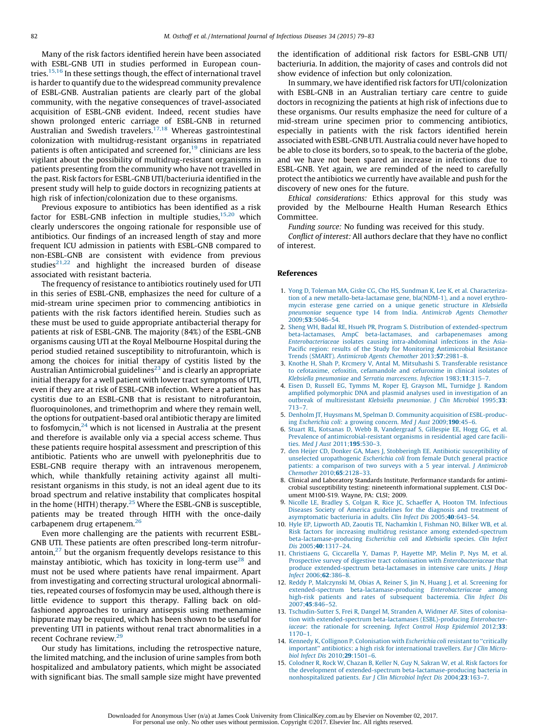<span id="page-3-0"></span>Many of the risk factors identified herein have been associated with ESBL-GNB UTI in studies performed in European countries.<sup>15,16</sup> In these settings though, the effect of international travel is harder to quantify due to the widespread community prevalence of ESBL-GNB. Australian patients are clearly part of the global community, with the negative consequences of travel-associated acquisition of ESBL-GNB evident. Indeed, recent studies have shown prolonged enteric carriage of ESBL-GNB in returned Australian and Swedish travelers.<sup>17,18</sup> Whereas gastrointestinal colonization with multidrug-resistant organisms in repatriated patients is often anticipated and screened for, $19$  clinicians are less vigilant about the possibility of multidrug-resistant organisms in patients presenting from the community who have not travelled in the past. Risk factors for ESBL-GNB UTI/bacteriuria identified in the present study will help to guide doctors in recognizing patients at high risk of infection/colonization due to these organisms.

Previous exposure to antibiotics has been identified as a risk factor for ESBL-GNB infection in multiple studies, $15,20$  which clearly underscores the ongoing rationale for responsible use of antibiotics. Our findings of an increased length of stay and more frequent ICU admission in patients with ESBL-GNB compared to non-ESBL-GNB are consistent with evidence from previous studies $21,22$  and highlight the increased burden of disease associated with resistant bacteria.

The frequency of resistance to antibiotics routinely used for UTI in this series of ESBL-GNB, emphasizes the need for culture of a mid-stream urine specimen prior to commencing antibiotics in patients with the risk factors identified herein. Studies such as these must be used to guide appropriate antibacterial therapy for patients at risk of ESBL-GNB. The majority (84%) of the ESBL-GNB organisms causing UTI at the Royal Melbourne Hospital during the period studied retained susceptibility to nitrofurantoin, which is among the choices for initial therapy of cystitis listed by the Australian Antimicrobial guidelines<sup>23</sup> and is clearly an appropriate initial therapy for a well patient with lower tract symptoms of UTI, even if they are at risk of ESBL-GNB infection. Where a patient has cystitis due to an ESBL-GNB that is resistant to nitrofurantoin, fluoroquinolones, and trimethoprim and where they remain well, the options for outpatient-based oral antibiotic therapy are limited to fosfomycin, $24$  which is not licensed in Australia at the present and therefore is available only via a special access scheme. Thus these patients require hospital assessment and prescription of this antibiotic. Patients who are unwell with pyelonephritis due to ESBL-GNB require therapy with an intravenous meropenem, which, while thankfully retaining activity against all multiresistant organisms in this study, is not an ideal agent due to its broad spectrum and relative instability that complicates hospital in the home (HITH) therapy.<sup>[25](#page-4-0)</sup> Where the ESBL-GNB is susceptible, patients may be treated through HITH with the once-daily carbapenem drug ertapenem.<sup>[26](#page-4-0)</sup>

Even more challenging are the patients with recurrent ESBL-GNB UTI. These patients are often prescribed long-term nitrofurantoin, $27$  but the organism frequently develops resistance to this mainstay antibiotic, which has toxicity in long-term use<sup>28</sup> and must not be used where patients have renal impairment. Apart from investigating and correcting structural urological abnormalities, repeated courses of fosfomycin may be used, although there is little evidence to support this therapy. Falling back on oldfashioned approaches to urinary antisepsis using methenamine hippurate may be required, which has been shown to be useful for preventing UTI in patients without renal tract abnormalities in a recent Cochrane review.<sup>[29](#page-4-0)</sup>

Our study has limitations, including the retrospective nature, the limited matching, and the inclusion of urine samples from both hospitalized and ambulatory patients, which might be associated with significant bias. The small sample size might have prevented the identification of additional risk factors for ESBL-GNB UTI/ bacteriuria. In addition, the majority of cases and controls did not show evidence of infection but only colonization.

In summary, we have identified risk factors for UTI/colonization with ESBL-GNB in an Australian tertiary care centre to guide doctors in recognizing the patients at high risk of infections due to these organisms. Our results emphasize the need for culture of a mid-stream urine specimen prior to commencing antibiotics, especially in patients with the risk factors identified herein associated with ESBL-GNB UTI. Australia could never have hoped to be able to close its borders, so to speak, to the bacteria of the globe, and we have not been spared an increase in infections due to ESBL-GNB. Yet again, we are reminded of the need to carefully protect the antibiotics we currently have available and push for the discovery of new ones for the future.

Ethical considerations: Ethics approval for this study was provided by the Melbourne Health Human Research Ethics Committee.

Funding source: No funding was received for this study.

Conflict of interest: All authors declare that they have no conflict of interest.

#### References

- 1. Yong D, Toleman MA, Giske CG, Cho HS, Sundman K, Lee K, et al. [Characteriza](http://refhub.elsevier.com/S1201-9712(15)00067-3/sbref0150)tion of a new [metallo-beta-lactamase](http://refhub.elsevier.com/S1201-9712(15)00067-3/sbref0150) gene, bla(NDM-1), and a novel erythromycin esterase gene carried on a unique genetic [structure](http://refhub.elsevier.com/S1201-9712(15)00067-3/sbref0150) in Klebsiella [pneumoniae](http://refhub.elsevier.com/S1201-9712(15)00067-3/sbref0150) sequence type 14 from India. Antimicrob Agents Chemother  $2009:53:5046-54.$
- 2. Sheng WH, Badal RE, Hsueh PR, Program S. Distribution of [extended-spectrum](http://refhub.elsevier.com/S1201-9712(15)00067-3/sbref0155) [beta-lactamases,](http://refhub.elsevier.com/S1201-9712(15)00067-3/sbref0155) AmpC beta-lactamases, and carbapenemases among [Enterobacteriaceae](http://refhub.elsevier.com/S1201-9712(15)00067-3/sbref0155) isolates causing intra-abdominal infections in the Asia-Pacific region: results of the Study for Monitoring [Antimicrobial](http://refhub.elsevier.com/S1201-9712(15)00067-3/sbref0155) Resistance Trends (SMART). [Antimicrob](http://refhub.elsevier.com/S1201-9712(15)00067-3/sbref0155) Agents Chemother 2013;57:2981–8.
- 3. Knothe H, Shah P, Krcmery V, Antal M, Mitsuhashi S. [Transferable](http://refhub.elsevier.com/S1201-9712(15)00067-3/sbref0160) resistance to cefotaxime, cefoxitin, [cefamandole](http://refhub.elsevier.com/S1201-9712(15)00067-3/sbref0160) and cefuroxime in clinical isolates of Klebsiella [pneumoniae](http://refhub.elsevier.com/S1201-9712(15)00067-3/sbref0160) and Serratia marcescens. Infection 1983;11:315–7.
- 4. Eisen D, Russell EG, Tymms M, Roper EJ, Grayson ML, [Turnidge](http://refhub.elsevier.com/S1201-9712(15)00067-3/sbref0165) J. Random amplified polymorphic DNA and plasmid analyses used in [investigation](http://refhub.elsevier.com/S1201-9712(15)00067-3/sbref0165) of an outbreak of [multiresistant](http://refhub.elsevier.com/S1201-9712(15)00067-3/sbref0165) Klebsiella pneumoniae. J Clin Microbiol 1995;33: [713–7](http://refhub.elsevier.com/S1201-9712(15)00067-3/sbref0165).
- 5. Denholm JT, Huysmans M, Spelman D. Community acquisition of [ESBL-produc](http://refhub.elsevier.com/S1201-9712(15)00067-3/sbref0170)ing [Escherichia](http://refhub.elsevier.com/S1201-9712(15)00067-3/sbref0170) coli: a growing concern. Med J Aust 2009;190:45–6.
- 6. Stuart RL, Kotsanas D, Webb B, [Vandergraaf](http://refhub.elsevier.com/S1201-9712(15)00067-3/sbref0175) S, Gillespie EE, Hogg GG, et al. Prevalence of [antimicrobial-resistant](http://refhub.elsevier.com/S1201-9712(15)00067-3/sbref0175) organisms in residential aged care facilities. Med J Aust 2011;195[:530–3.](http://refhub.elsevier.com/S1201-9712(15)00067-3/sbref0175)
- 7. den Heijer CD, Donker GA, Maes J, Stobberingh EE. Antibiotic [susceptibility](http://refhub.elsevier.com/S1201-9712(15)00067-3/sbref0180) of unselected [uropathogenic](http://refhub.elsevier.com/S1201-9712(15)00067-3/sbref0180) Escherichia coli from female Dutch general practice patients: a [comparison](http://refhub.elsevier.com/S1201-9712(15)00067-3/sbref0180) of two surveys with a 5 year interval. J Antimicrob [Chemother](http://refhub.elsevier.com/S1201-9712(15)00067-3/sbref0180) 2010;65:2128–33.
- 8. Clinical and Laboratory Standards Institute. Performance standards for antimicrobial susceptibility testing: nineteenth informational supplement. CLSI Document M100-S19. Wayne, PA: CLSI; 2009.
- 9. Nicolle LE, Bradley S, Colgan R, Rice JC, Schaeffer A, Hooton TM. [Infectious](http://refhub.elsevier.com/S1201-9712(15)00067-3/sbref0190) Diseases Society of America [guidelines](http://refhub.elsevier.com/S1201-9712(15)00067-3/sbref0190) for the diagnosis and treatment of [asymptomatic](http://refhub.elsevier.com/S1201-9712(15)00067-3/sbref0190) bacteriuria in adults. Clin Infect Dis 2005;40:643–54.
- 10. Hyle EP, Lipworth AD, Zaoutis TE, [Nachamkin](http://refhub.elsevier.com/S1201-9712(15)00067-3/sbref0195) I, Fishman NO, Bilker WB, et al. Risk factors for increasing multidrug resistance among [extended-spectrum](http://refhub.elsevier.com/S1201-9712(15)00067-3/sbref0195) [beta-lactamase-producing](http://refhub.elsevier.com/S1201-9712(15)00067-3/sbref0195) Escherichia coli and Klebsiella species. Clin Infect Dis 2005;40[:1317–24](http://refhub.elsevier.com/S1201-9712(15)00067-3/sbref0195).
- 11. [Christiaens](http://refhub.elsevier.com/S1201-9712(15)00067-3/sbref0200) G, Ciccarella Y, Damas P, Hayette MP, Melin P, Nys M, et al. Prospective survey of digestive tract colonisation with [Enterobacteriaceae](http://refhub.elsevier.com/S1201-9712(15)00067-3/sbref0200) that produce [extended-spectrum](http://refhub.elsevier.com/S1201-9712(15)00067-3/sbref0200) beta-lactamases in intensive care units. J Hosp Infect 2006;62[:386–8.](http://refhub.elsevier.com/S1201-9712(15)00067-3/sbref0200)
- 12. Reddy P, [Malczynski](http://refhub.elsevier.com/S1201-9712(15)00067-3/sbref0205) M, Obias A, Reiner S, Jin N, Huang J, et al. Screening for extended-spectrum [beta-lactamase-producing](http://refhub.elsevier.com/S1201-9712(15)00067-3/sbref0205) Enterobacteriaceae among high-risk patients and rates of subsequent [bacteremia.](http://refhub.elsevier.com/S1201-9712(15)00067-3/sbref0205) Clin Infect Dis 2007;45[:846–52](http://refhub.elsevier.com/S1201-9712(15)00067-3/sbref0205).
- 13. [Tschudin-Sutter](http://refhub.elsevier.com/S1201-9712(15)00067-3/sbref0210) S, Frei R, Dangel M, Stranden A, Widmer AF. Sites of colonisation with [extended-spectrum](http://refhub.elsevier.com/S1201-9712(15)00067-3/sbref0210) beta-lactamases (ESBL)-producing Enterobacteriaceae: the rationale for [screening.](http://refhub.elsevier.com/S1201-9712(15)00067-3/sbref0210) Infect Control Hosp Epidemiol 2012;33: [1170–1](http://refhub.elsevier.com/S1201-9712(15)00067-3/sbref0210).
- 14. Kennedy K, Collignon P. [Colonisation](http://refhub.elsevier.com/S1201-9712(15)00067-3/sbref0215) with Escherichia coli resistant to "critically important'' antibiotics: a high risk for [international](http://refhub.elsevier.com/S1201-9712(15)00067-3/sbref0215) travellers. Eur J Clin Microbiol Infect Dis 2010;29[:1501–6](http://refhub.elsevier.com/S1201-9712(15)00067-3/sbref0215).
- 15. [Colodner](http://refhub.elsevier.com/S1201-9712(15)00067-3/sbref0220) R, Rock W, Chazan B, Keller N, Guy N, Sakran W, et al. Risk factors for the development of extended-spectrum [beta-lactamase-producing](http://refhub.elsevier.com/S1201-9712(15)00067-3/sbref0220) bacteria in [nonhospitalized](http://refhub.elsevier.com/S1201-9712(15)00067-3/sbref0220) patients. Eur J Clin Microbiol Infect Dis 2004;23:163–7.